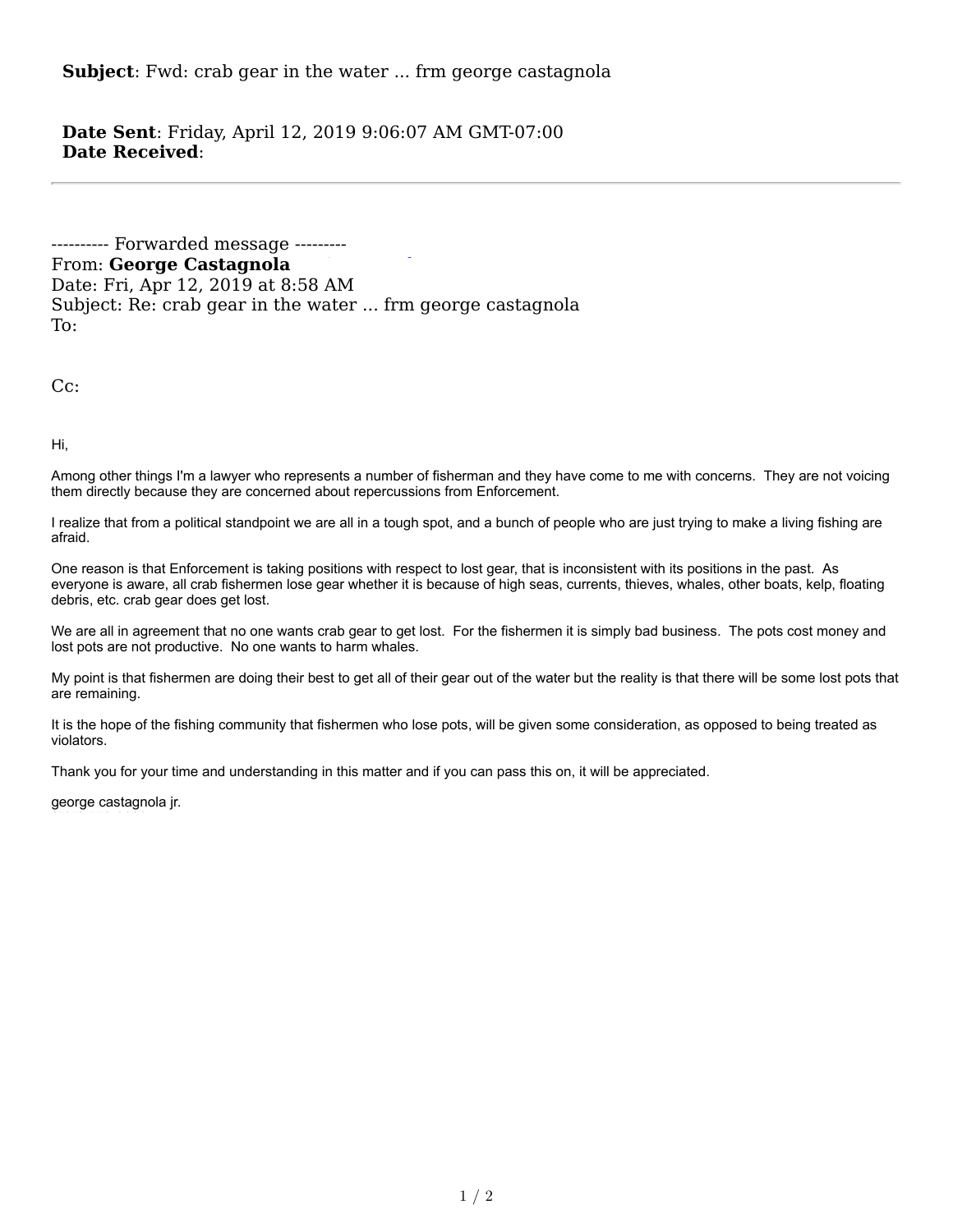**Subject**: Fwd: crab gear in the water ... frm george castagnola

**Date Sent**: Friday, April 12, 2019 9:06:07 AM GMT-07:00 **Date Received**: 

---------- Forwarded message ---------From: George Castagnola Date: Fri, Apr 12, 2019 at 8:58 AM Subject: Re: crab gear in the water ... frm george castagnola To: 

Cc: 

Hi, 

Among other things I'm a lawyer who represents a number of fisherman and they have come to me with concerns. They are not voicing them directly because they are concerned about repercussions from Enforcement.

I realize that from a political standpoint we are all in a tough spot, and a bunch of people who are just trying to make a living fishing are afraid.

One reason is that Enforcement is taking positions with respect to lost gear, that is inconsistent with its positions in the past. As everyone is aware, all crab fishermen lose gear whether it is because of high seas, currents, thieves, whales, other boats, kelp, floating debris, etc. crab gear does get lost.

We are all in agreement that no one wants crab gear to get lost. For the fishermen it is simply bad business. The pots cost money and lost pots are not productive. No one wants to harm whales.

My point is that fishermen are doing their best to get all of their gear out of the water but the reality is that there will be some lost pots that are remaining.

It is the hope of the fishing community that fishermen who lose pots, will be given some consideration, as opposed to being treated as violators.

Thank you for your time and understanding in this matter and if you can pass this on, it will be appreciated.

george castagnola jr.